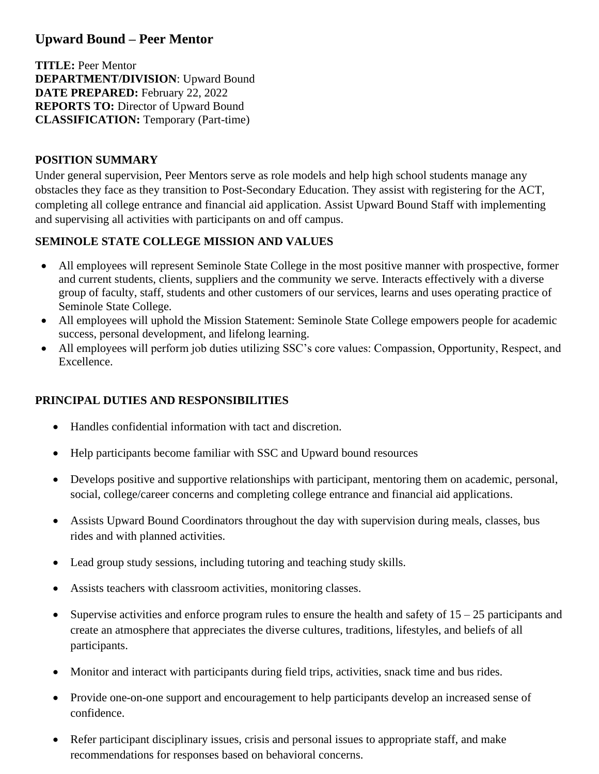# **Upward Bound – Peer Mentor**

**TITLE:** Peer Mentor **DEPARTMENT/DIVISION**: Upward Bound **DATE PREPARED:** February 22, 2022 **REPORTS TO:** Director of Upward Bound **CLASSIFICATION:** Temporary (Part-time)

## **POSITION SUMMARY**

Under general supervision, Peer Mentors serve as role models and help high school students manage any obstacles they face as they transition to Post-Secondary Education. They assist with registering for the ACT, completing all college entrance and financial aid application. Assist Upward Bound Staff with implementing and supervising all activities with participants on and off campus.

## **SEMINOLE STATE COLLEGE MISSION AND VALUES**

- All employees will represent Seminole State College in the most positive manner with prospective, former and current students, clients, suppliers and the community we serve. Interacts effectively with a diverse group of faculty, staff, students and other customers of our services, learns and uses operating practice of Seminole State College.
- All employees will uphold the Mission Statement: Seminole State College empowers people for academic success, personal development, and lifelong learning.
- All employees will perform job duties utilizing SSC's core values: Compassion, Opportunity, Respect, and Excellence.

## **PRINCIPAL DUTIES AND RESPONSIBILITIES**

- Handles confidential information with tact and discretion.
- Help participants become familiar with SSC and Upward bound resources
- Develops positive and supportive relationships with participant, mentoring them on academic, personal, social, college/career concerns and completing college entrance and financial aid applications.
- Assists Upward Bound Coordinators throughout the day with supervision during meals, classes, bus rides and with planned activities.
- Lead group study sessions, including tutoring and teaching study skills.
- Assists teachers with classroom activities, monitoring classes.
- Supervise activities and enforce program rules to ensure the health and safety of  $15 25$  participants and create an atmosphere that appreciates the diverse cultures, traditions, lifestyles, and beliefs of all participants.
- Monitor and interact with participants during field trips, activities, snack time and bus rides.
- Provide one-on-one support and encouragement to help participants develop an increased sense of confidence.
- Refer participant disciplinary issues, crisis and personal issues to appropriate staff, and make recommendations for responses based on behavioral concerns.